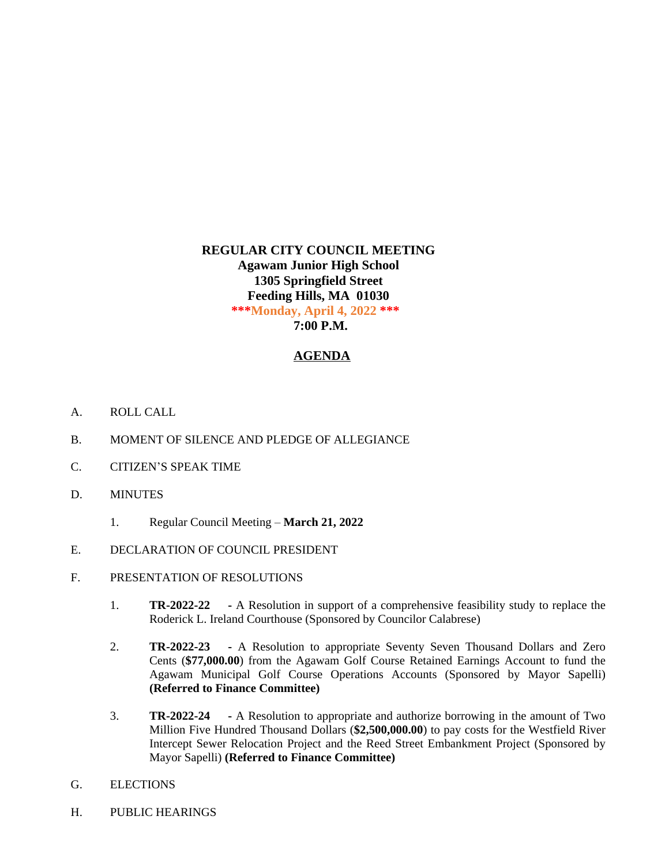## **REGULAR CITY COUNCIL MEETING Agawam Junior High School 1305 Springfield Street Feeding Hills, MA 01030 \*\*\*Monday, April 4, 2022 \*\*\* 7:00 P.M.**

## **AGENDA**

- A. ROLL CALL
- B. MOMENT OF SILENCE AND PLEDGE OF ALLEGIANCE
- C. CITIZEN'S SPEAK TIME
- D. MINUTES
	- 1. Regular Council Meeting **March 21, 2022**
- E. DECLARATION OF COUNCIL PRESIDENT
- F. PRESENTATION OF RESOLUTIONS
	- 1. **TR-2022-22 -** A Resolution in support of a comprehensive feasibility study to replace the Roderick L. Ireland Courthouse (Sponsored by Councilor Calabrese)
	- 2. **TR-2022-23 -** A Resolution to appropriate Seventy Seven Thousand Dollars and Zero Cents (**\$77,000.00**) from the Agawam Golf Course Retained Earnings Account to fund the Agawam Municipal Golf Course Operations Accounts (Sponsored by Mayor Sapelli) **(Referred to Finance Committee)**
	- 3. **TR-2022-24 -** A Resolution to appropriate and authorize borrowing in the amount of Two Million Five Hundred Thousand Dollars (**\$2,500,000.00**) to pay costs for the Westfield River Intercept Sewer Relocation Project and the Reed Street Embankment Project (Sponsored by Mayor Sapelli) **(Referred to Finance Committee)**
- G. ELECTIONS
- H. PUBLIC HEARINGS